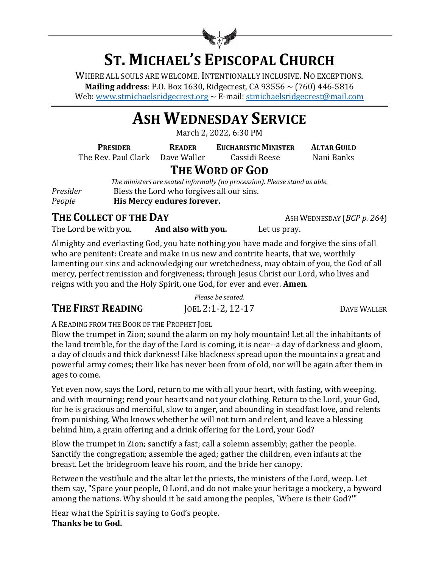

# **ST. MICHAEL'S EPISCOPAL CHURCH**

WHERE ALL SOULS ARE WELCOME. INTENTIONALLY INCLUSIVE. NO EXCEPTIONS. **Mailing address**: P.O. Box 1630, Ridgecrest, CA 93556  $\sim$  (760) 446-5816 Web: www.stmichaelsridgecrest.org  $\sim$  E-mail: stmichaelsridgecrest@mail.com

# **ASH WEDNESDAY SERVICE**

March 2, 2022, 6:30 PM

**PRESIDER READER EUCHARISTIC MINISTER ALTAR GUILD** The Rev. Paul Clark Dave Waller Cassidi Reese Nani Banks

## **THE WORD OF GOD**

|          | The ministers are seated informally (no procession). Please stand as able. |
|----------|----------------------------------------------------------------------------|
| Presider | Bless the Lord who forgives all our sins.                                  |
| People   | His Mercy endures forever.                                                 |

## **THE COLLECT OF THE DAY** ASH WEDNESDAY (*BCP p.* 264)

The Lord be with you. **And also with you.** Let us pray.

Almighty and everlasting God, you hate nothing you have made and forgive the sins of all who are penitent: Create and make in us new and contrite hearts, that we, worthily lamenting our sins and acknowledging our wretchedness, may obtain of you, the God of all mercy, perfect remission and forgiveness; through Jesus Christ our Lord, who lives and reigns with you and the Holy Spirit, one God, for ever and ever. **Amen**.

*Please be seated.* **THE FIRST READING** JOEL 2:1-2, 12-17 DAVE WALLER

A READING FROM THE BOOK OF THE PROPHET JOEL

Blow the trumpet in Zion; sound the alarm on my holy mountain! Let all the inhabitants of the land tremble, for the day of the Lord is coming, it is near--a day of darkness and gloom, a day of clouds and thick darkness! Like blackness spread upon the mountains a great and powerful army comes; their like has never been from of old, nor will be again after them in ages to come.

Yet even now, says the Lord, return to me with all your heart, with fasting, with weeping, and with mourning; rend your hearts and not your clothing. Return to the Lord, your God, for he is gracious and merciful, slow to anger, and abounding in steadfast love, and relents from punishing. Who knows whether he will not turn and relent, and leave a blessing behind him, a grain offering and a drink offering for the Lord, your God?

Blow the trumpet in Zion; sanctify a fast; call a solemn assembly; gather the people. Sanctify the congregation; assemble the aged; gather the children, even infants at the breast. Let the bridegroom leave his room, and the bride her canopy.

Between the vestibule and the altar let the priests, the ministers of the Lord, weep. Let them say, "Spare your people, O Lord, and do not make your heritage a mockery, a byword among the nations. Why should it be said among the peoples, `Where is their God?'"

Hear what the Spirit is saying to God's people. **Thanks be to God.**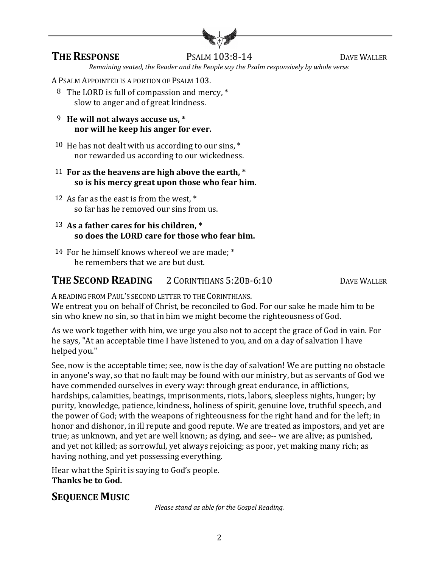## **THE RESPONSE** PSALM 103:8-14 DAVE WALLER

Remaining seated, the Reader and the People say the Psalm responsively by whole verse.

A PSALM APPOINTED IS A PORTION OF PSALM 103.

- 8 The LORD is full of compassion and mercy,  $*$ slow to anger and of great kindness.
- <sup>9</sup> He will not always accuse us,  $*$ **nor** will he keep his anger for ever.
- 10 He has not dealt with us according to our sins,  $*$ nor rewarded us according to our wickedness.
- 11 For as the heavens are high above the earth, \* so is his mercy great upon those who fear him.
- 12 As far as the east is from the west.  $*$ so far has he removed our sins from us.

#### 13 As a father cares for his children, \*  **so does the LORD care for those who fear him.**

14 For he himself knows whereof we are made; \* he remembers that we are but dust.

### **THE SECOND READING** 2 CORINTHIANS 5:20B-6:10 DAVE WALLER

A READING FROM PAUL'S SECOND LETTER TO THE CORINTHIANS.

We entreat you on behalf of Christ, be reconciled to God. For our sake he made him to be sin who knew no sin, so that in him we might become the righteousness of God.

As we work together with him, we urge you also not to accept the grace of God in vain. For he says, "At an acceptable time I have listened to you, and on a day of salvation I have helped you."

See, now is the acceptable time; see, now is the day of salvation! We are putting no obstacle in anyone's way, so that no fault may be found with our ministry, but as servants of God we have commended ourselves in every way: through great endurance, in afflictions, hardships, calamities, beatings, imprisonments, riots, labors, sleepless nights, hunger; by purity, knowledge, patience, kindness, holiness of spirit, genuine love, truthful speech, and the power of God; with the weapons of righteousness for the right hand and for the left; in honor and dishonor, in ill repute and good repute. We are treated as impostors, and yet are true; as unknown, and yet are well known; as dying, and see-- we are alive; as punished, and yet not killed; as sorrowful, yet always rejoicing; as poor, yet making many rich; as having nothing, and yet possessing everything.

Hear what the Spirit is saying to God's people. **Thanks be to God.** 

## **SEQUENCE MUSIC**

*Please stand as able for the Gospel Reading.*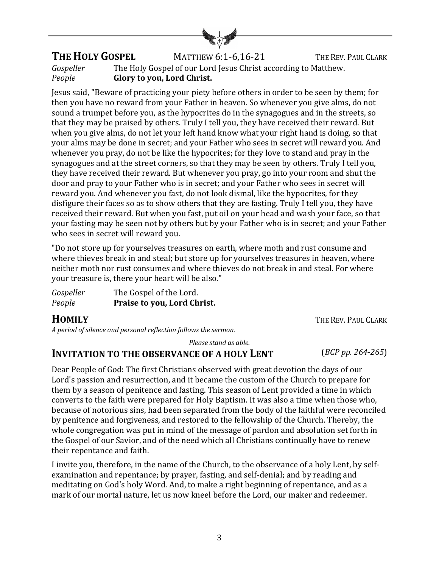

**THE HOLY GOSPEL** MATTHEW 6:1-6.16-21 THE REV. PAUL CLARK

*Gospeller* The Holy Gospel of our Lord Jesus Christ according to Matthew. *People* **Glory to you, Lord Christ.** 

Jesus said, "Beware of practicing your piety before others in order to be seen by them; for then you have no reward from your Father in heaven. So whenever you give alms, do not sound a trumpet before you, as the hypocrites do in the synagogues and in the streets, so that they may be praised by others. Truly I tell you, they have received their reward. But when you give alms, do not let your left hand know what your right hand is doing, so that your alms may be done in secret; and your Father who sees in secret will reward you. And whenever you pray, do not be like the hypocrites; for they love to stand and pray in the synagogues and at the street corners, so that they may be seen by others. Truly I tell you, they have received their reward. But whenever you pray, go into your room and shut the door and pray to your Father who is in secret; and your Father who sees in secret will reward you. And whenever you fast, do not look dismal, like the hypocrites, for they disfigure their faces so as to show others that they are fasting. Truly I tell you, they have received their reward. But when you fast, put oil on your head and wash your face, so that your fasting may be seen not by others but by your Father who is in secret; and your Father who sees in secret will reward you.

"Do not store up for yourselves treasures on earth, where moth and rust consume and where thieves break in and steal; but store up for yourselves treasures in heaven, where neither moth nor rust consumes and where thieves do not break in and steal. For where your treasure is, there your heart will be also."

*Gospeller* The Gospel of the Lord. **People Praise to you, Lord Christ.** 

**HOMILY** THE REV. PAUL CLARK

*A period of silence and personal reflection follows the sermon.*

*Please stand as able.*

## **INVITATION TO THE OBSERVANCE OF A HOLY LENT** (*BCP pp. 264-265*)

Dear People of God: The first Christians observed with great devotion the days of our Lord's passion and resurrection, and it became the custom of the Church to prepare for them by a season of penitence and fasting. This season of Lent provided a time in which converts to the faith were prepared for Holy Baptism. It was also a time when those who, because of notorious sins, had been separated from the body of the faithful were reconciled by penitence and forgiveness, and restored to the fellowship of the Church. Thereby, the whole congregation was put in mind of the message of pardon and absolution set forth in the Gospel of our Savior, and of the need which all Christians continually have to renew their repentance and faith.

I invite you, therefore, in the name of the Church, to the observance of a holy Lent, by selfexamination and repentance; by prayer, fasting, and self-denial; and by reading and meditating on God's holy Word. And, to make a right beginning of repentance, and as a mark of our mortal nature, let us now kneel before the Lord, our maker and redeemer.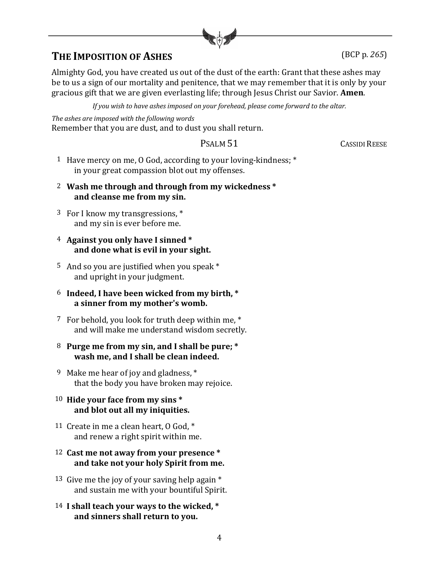## **THE IMPOSITION OF ASHES** (BCP p. 265)

Almighty God, you have created us out of the dust of the earth: Grant that these ashes may be to us a sign of our mortality and penitence, that we may remember that it is only by your gracious gift that we are given everlasting life; through Jesus Christ our Savior. Amen.

*If* you wish to have ashes imposed on your forehead, please come forward to the altar.

The ashes are imposed with the following words Remember that you are dust, and to dust you shall return.

**PSALM 51** CASSIDI REESE

- <sup>1</sup> Have mercy on me, O God, according to your loving-kindness; \* in your great compassion blot out my offenses.
- <sup>2</sup> Wash me through and through from my wickedness \* and cleanse me from my sin.
- 3 For I know my transgressions,  $*$ and my sin is ever before me.
- 4 Against you only have I sinned \* and done what is evil in your sight.
- 5 And so you are justified when you speak  $*$ and upright in your judgment.
- <sup>6</sup> Indeed, I have been wicked from my birth, \* a sinner from my mother's womb.
- 7 For behold, you look for truth deep within me,  $*$ and will make me understand wisdom secretly.
- 8 Purge me from my sin, and I shall be pure; \* **wash me, and I shall be clean indeed.**
- 9 Make me hear of joy and gladness,  $*$ that the body you have broken may rejoice.
- 10 **Hide your face from my sins \*** and blot out all my iniquities.
- 11 Create in me a clean heart, 0 God,  $*$ and renew a right spirit within me.
- 12 Cast me not away from your presence \* and take not your holy Spirit from me.
- 13 Give me the joy of your saving help again  $*$ and sustain me with your bountiful Spirit.
- 14 I shall teach your ways to the wicked, \* and sinners shall return to you.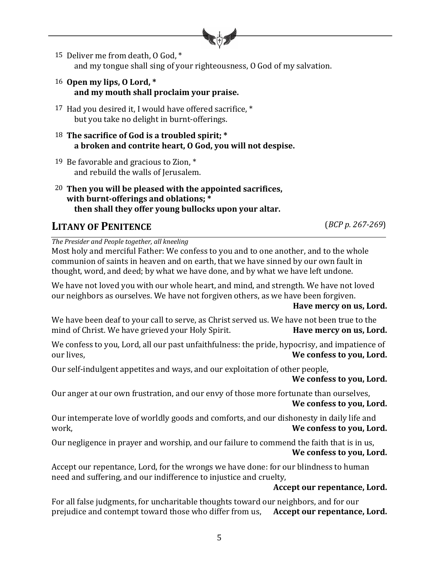

- 15 Deliver me from death, O God, \* and my tongue shall sing of your righteousness,  $0$  God of my salvation.
- 16 Open my lips, O Lord, \* and my mouth shall proclaim your praise.
- 17 Had you desired it, I would have offered sacrifice, \* but you take no delight in burnt-offerings.
- 18 The sacrifice of God is a troubled spirit; \* a broken and contrite heart, O God, you will not despise.
- 19 Be favorable and gracious to Zion,  $*$ and rebuild the walls of Jerusalem.
- <sup>20</sup> Then you will be pleased with the appointed sacrifices, **with burnt-offerings and oblations:** \* then shall they offer young bullocks upon your altar.

## **LITANY OF PENITENCE** (*BCP p.* 267-269)

**The Presider and People together, all kneeling** 

Most holy and merciful Father: We confess to you and to one another, and to the whole communion of saints in heaven and on earth, that we have sinned by our own fault in thought, word, and deed; by what we have done, and by what we have left undone.

We have not loved you with our whole heart, and mind, and strength. We have not loved our neighbors as ourselves. We have not forgiven others, as we have been forgiven.

#### Have mercy on us, Lord.

We have been deaf to your call to serve, as Christ served us. We have not been true to the mind of Christ. We have grieved your Holy Spirit. **Have mercy on us, Lord.** 

We confess to you, Lord, all our past unfaithfulness: the pride, hypocrisy, and impatience of our lives, **We confess to you, Lord.** 

Our self-indulgent appetites and ways, and our exploitation of other people,

#### We confess to you, Lord.

Our anger at our own frustration, and our envy of those more fortunate than ourselves, We confess to you, Lord.

Our intemperate love of worldly goods and comforts, and our dishonesty in daily life and work, work, **we confess to you, Lord.** 

Our negligence in prayer and worship, and our failure to commend the faith that is in us, We confess to you, Lord.

Accept our repentance, Lord, for the wrongs we have done: for our blindness to human need and suffering, and our indifference to injustice and cruelty,

#### Accept our repentance, Lord.

For all false judgments, for uncharitable thoughts toward our neighbors, and for our prejudice and contempt toward those who differ from us, **Accept our repentance, Lord.**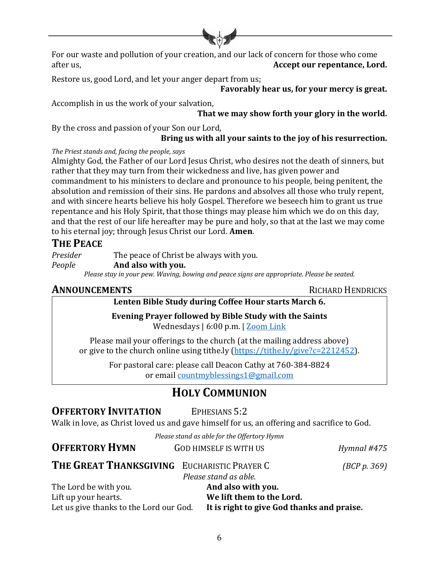

Restore us, good Lord, and let your anger depart from us;

Favorably hear us, for your mercy is great.

Accomplish in us the work of your salvation,

#### That we may show forth your glory in the world.

By the cross and passion of your Son our Lord,

#### Bring us with all your saints to the joy of his resurrection.

The Priest stands and, facing the people, says

Almighty God, the Father of our Lord Jesus Christ, who desires not the death of sinners, but rather that they may turn from their wickedness and live, has given power and commandment to his ministers to declare and pronounce to his people, being penitent, the absolution and remission of their sins. He pardons and absolves all those who truly repent, and with sincere hearts believe his holy Gospel. Therefore we beseech him to grant us true repentance and his Holy Spirit, that those things may please him which we do on this day, and that the rest of our life hereafter may be pure and holy, so that at the last we may come to his eternal joy; through Jesus Christ our Lord. **Amen**.

## **THE PEACE**

*Presider* The peace of Christ be always with you. *People* **And also with you.** 

Please stay in your pew. Waving, bowing and peace signs are appropriate. Please be seated.

## **ANNOUNCEMENTS** RICHARD HENDRICKS

## Lenten Bible Study during Coffee Hour starts March 6.

#### **Evening Prayer followed by Bible Study with the Saints** Wednesdays | 6:00 p.m. | Zoom Link

Please mail your offerings to the church (at the mailing address above) or give to the church online using tithe.ly  $(https://tithe.ly/give?c=2212452)$ .

> For pastoral care: please call Deacon Cathy at 760-384-8824 or email countmyblessings1@gmail.com

## **HOLY COMMUNION**

## **OFFERTORY INVITATION** EPHESIANS 5:2

Walk in love, as Christ loved us and gave himself for us, an offering and sacrifice to God.

|                                             |  | Please stand as able for the Offertory Hymn |              |
|---------------------------------------------|--|---------------------------------------------|--------------|
| <b>OFFERTORY HYMN</b>                       |  | <b>GOD HIMSELF IS WITH US</b>               | Hymnal #475  |
| THE GREAT THANKSGIVING EUCHARISTIC PRAYER C |  |                                             | (BCP p. 369) |
|                                             |  | Please stand as able.                       |              |
| The Lord be with you.                       |  | And also with you.                          |              |
| Lift up your hearts.                        |  | We lift them to the Lord.                   |              |
| Let us give thanks to the Lord our God.     |  | It is right to give God thanks and praise.  |              |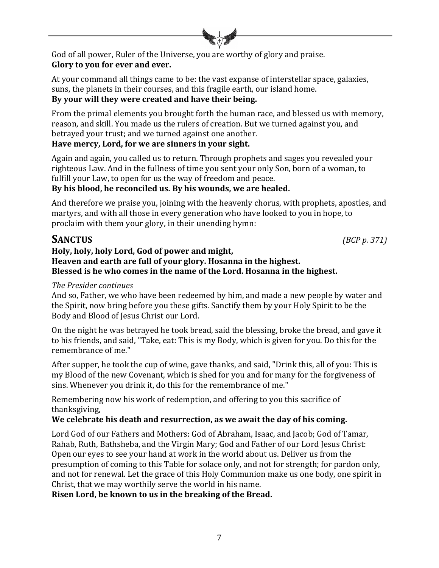

God of all power, Ruler of the Universe, you are worthy of glory and praise. Glory to you for ever and ever.

At your command all things came to be: the vast expanse of interstellar space, galaxies, suns, the planets in their courses, and this fragile earth, our island home.

### By your will they were created and have their being.

From the primal elements you brought forth the human race, and blessed us with memory, reason, and skill. You made us the rulers of creation. But we turned against you, and betrayed your trust; and we turned against one another.

## Have mercy, Lord, for we are sinners in your sight.

Again and again, you called us to return. Through prophets and sages you revealed your righteous Law. And in the fullness of time you sent your only Son, born of a woman, to fulfill your Law, to open for us the way of freedom and peace.

## By his blood, he reconciled us. By his wounds, we are healed.

And therefore we praise you, joining with the heavenly chorus, with prophets, apostles, and martyrs, and with all those in every generation who have looked to you in hope, to proclaim with them your glory, in their unending hymn:

## **SANCTUS** *(BCP p. 371)* Holy, holy, holy Lord, God of power and might, Heaven and earth are full of your glory. Hosanna in the highest. **Blessed is he who comes in the name of the Lord. Hosanna in the highest.**

### *The Presider continues*

And so, Father, we who have been redeemed by him, and made a new people by water and the Spirit, now bring before you these gifts. Sanctify them by your Holy Spirit to be the Body and Blood of Jesus Christ our Lord.

On the night he was betrayed he took bread, said the blessing, broke the bread, and gave it to his friends, and said, "Take, eat: This is my Body, which is given for you. Do this for the remembrance of me."

After supper, he took the cup of wine, gave thanks, and said, "Drink this, all of you: This is my Blood of the new Covenant, which is shed for you and for many for the forgiveness of sins. Whenever you drink it, do this for the remembrance of me."

Remembering now his work of redemption, and offering to you this sacrifice of thanksgiving,

#### We celebrate his death and resurrection, as we await the day of his coming.

Lord God of our Fathers and Mothers: God of Abraham, Isaac, and Jacob; God of Tamar, Rahab, Ruth, Bathsheba, and the Virgin Mary; God and Father of our Lord Jesus Christ: Open our eyes to see your hand at work in the world about us. Deliver us from the presumption of coming to this Table for solace only, and not for strength; for pardon only, and not for renewal. Let the grace of this Holy Communion make us one body, one spirit in Christ, that we may worthily serve the world in his name.

#### Risen Lord, be known to us in the breaking of the Bread.